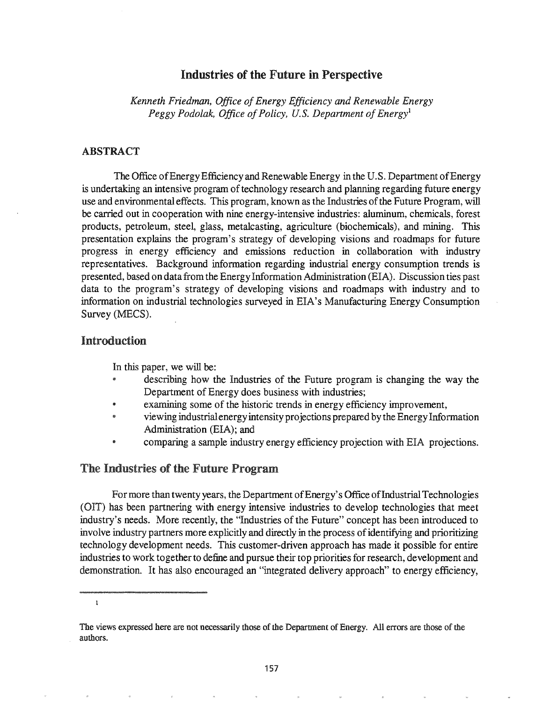## Industries of the Future in Perspective

*Kenneth Friedman, Office of Energy Efficiency and Renewable Energy Peggy Podolak, Office of Policy, U.S. Department of Energy*<sup>1</sup>

## ABSTRACT

The Office of Energy Efficiency and Renewable Energy in the U.S. Department of Energy is undertaking an intensive program of technology research and planning regarding future energy use and environmental effects. This program, known as the Industries of the Future Program, will be carried out in cooperation with nine energy-intensive industries: aluminum, chemicals, forest products, petroleum, steel, glass, metalcasting, agriculture (biochemicals), and mining. This presentation explains the program's strategy of developing visions and roadmaps for future progress in energy efficiency and emissions reduction in collaboration with industry representatives. Background information regarding industrial energy consumption trends is presented, based on data from the Energy Information Administration (EIA). Discussion ties past data to the program's strategy of developing visions and roadmaps with industry and to information on industrial technologies surveyed in EIA's Manufacturing Energy Consumption Survey (MECS).

# Introduction

In this paper, we will be:

- describing how the Industries of the Future program is changing the way the Department of Energy does business with industries;
- examining some of the historic trends in energy efficiency improvement,
- viewing industrial energy intensity projections prepared by the Energy Information Administration (EIA); and
- @ comparing a sample industry energy efficiency projection with EIA projections.

## The Industries of the Future Program

For more than twenty years, the Department of Energy's Office of Industrial Technologies (OIT) has been partnering with energy intensive industries to develop technologies that meet industry's needs. More recently, the "Industries of the Future" concept has been introduced to involve industry partners more explicitly and directly in the process of identifying and prioritizing technology development needs. This customer-driven approach has made it possible for entire industries to work together to define and pursue their top priorities for research, development and demonstration.. It has also encouraged an "integrated delivery approach" to energy efficiency,

 $\mathbf{1}$ 

The views expressed here are not necessarily those of the Department of Energy. All errors are those of the authors.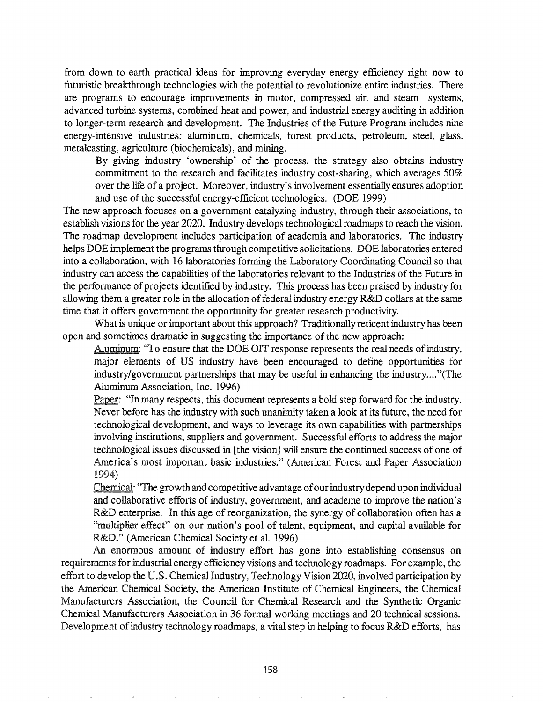from down-to-earth practical ideas for improving everyday energy efficiency right now to futuristic breakthrough technologies with the potential to revolutionize entire industries. There are programs to encourage improvements in motor, compressed air, and steam systems, advanced turbine systems, combined heat and power, and industrial energy auditing in addition to longer-term research and development. The Industries of the Future Program includes nine energy-intensive industries: aluminum, chemicals, forest products, petroleum, steel, glass, metalcasting, agriculture (biochemicals), and mining.

By giving industry 'ownership' of the process, the strategy also obtains industry commitment to the research and facilitates industry cost-sharing, which averages 50% over the life of a project. Moreover, industry's involvement essentially ensures adoption and use of the successful energy-efficient technologies. (DOE 1999)

The new approach focuses on a government catalyzing industry, through their associations, to establish visions for the year 2020. Industry develops technological roadmaps to reach the vision. The roadmap development includes participation of academia and laboratories. The industry helps DOE implement the programs through competitive solicitations. DOE laboratories entered into a collaboration, with 16 laboratories forming the Laboratory Coordinating Council so that industry can access the capabilities of the laboratories relevant to the Industries of the Future in the performance of projects identified by industry. This process has been praised by industry for allowing them a greater role in the allocation of federal industry energy R&D dollars at the same time that it offers government the opportunity for greater research productivity.

What is unique or important about this approach? Traditionally reticent industry has been open and sometimes dramatic in suggesting the importance of the new approach:

Aluminum: "To ensure that the DOE OIT response represents the real needs of industry, major elements of US industry have been encouraged to define opportunities for industry/government partnerships that may be useful in enhancing the industry...."(The Aluminum Association, Inc. 1996)

Paper: "In many respects, this document represents a bold step forward for the industry. Never before has the industry with such unanimity taken a look at its future, the need for technological development, and ways to leverage its own capabilities with partnerships involving institutions, suppliers and government. Successful efforts to address the major technological issues discussed in [the vision] will ensure the continued success of one of America's most important basic industries." (American Forest and Paper Association 1994)

Chemical: 'The growth and competitive advantage ofourindustrydepend upon individual and collaborative efforts of industry, government, and academe to improve the nation's R&D enterprise. In this age of reorganization, the synergy of collaboration often has a "multiplier effect" on our nation's pool of talent, equipment, and capital available for R&D." (American Chemical Society et al. 1996)

An enormous amount of industry effort has gone into establishing consensus on requirements for industrial energy efficiency visions and technology roadmaps. For example, the effort to develop the U.S. Chemical Industry, Technology Vision 2020, involved participation by the American Chemical Society, the American Institute of Chemical Engineers, the Chemical Manufacturers Association, the Council for Chemical Research and the Synthetic Organic Chemical Manufacturers Association in 36 formal working meetings and 20 technical sessions. Development of industry technology roadmaps, a vital step in helping to focus R&D efforts, has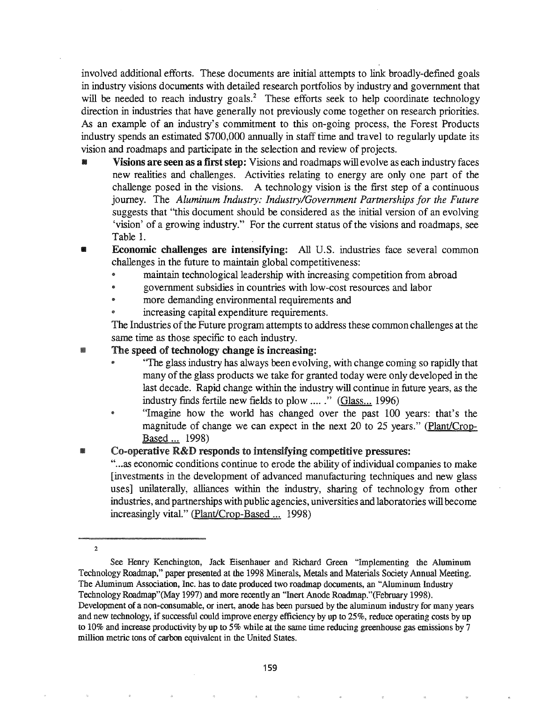involved additional efforts. These documents are initial attempts to link broadly-defined goals in industry visions documents with detailed research portfolios by industry and government that will be needed to reach industry goals.<sup>2</sup> These efforts seek to help coordinate technology direction in industries that have generally not previously come together on research priorities. As an example of an industry's commitment to this on-going process, the Forest Products industry spends an estimated \$700,000 annually in staff time and travel to regularly update its vision and roadmaps and participate in the selection and review of projects.

- Visions are seen as a first step: Visions and roadmaps will evolve as each industry faces new realities and challenges. Activities relating to energy are only one part of the challenge posed in the visions. A technology vision is the first step of a continuous journey. The *Aluminum Industry: Industry/Government Partnerships for the Future* suggests that "this document should be considered as the initial version of an evolving 'vision' of a growing industry." For the current status of the visions and roadmaps, see Table 1.
- **Economic challenges are intensifying:** All U.S. industries face several common challenges in the future to maintain global competitiveness:
	- maintain technological leadership with increasing competition from abroad
	- government subsidies in countries with low-cost resources and labor
	- more demanding environmental requirements and
	- increasing capital expenditure requirements.

The Industries of the Future program attempts to address these common challenges at the same time as those specific to each industry.

## **III.** The speed of technology change is increasing:

- @ 'The glass industry has always been evolving, with change coming so rapidly that many of the glass products we take for granted today were only developed in the last decade. Rapid change within the industry will continue in future years, as the industry finds fertile new fields to plow ....." (Glass... 1996)
- "Imagine how the world has changed over the past 100 years: that's the magnitude of change we can expect in the next  $20$  to  $25$  years." (Plant/Crop-Based ... 1998)

# Co-operative R&D responds to intensifying competitive pressures:

"...as economic conditions continue to erode the ability of individual companies to make [investments in the development of advanced manufacturing techniques and new glass uses] unilaterally, alliances within the industry, sharing of technology from other industries, and partnerships with public agencies, universities and laboratories willbecome increasingly vital." (Plant/Crop-Based ... 1998)

2

See Henry Kenchington, Jack Eisenhauer and Richard Green "Implementing the Aluminum Technology Roadmap," paper presented at the 1998 Minerals, Metals and Materials Society Annual Meeting. The Aluminum Association, Inc. has to date produced two roadmap documents, an "Aluminum Industry Technology Roadmap"(May 1997) and more recently an "Inert Anode Roadmap."(February 1998). Development of a non-consumable, or inert, anode has been pursued by the aluminum industry for many years and new technology, if successful could improve energy efficiency by up to 25%, reduce operating costs by up to 10% and increase productivity by up to 5% while at the same time reducing greenhouse gas emissions by 7 million metric tons of carbon equivalent in the United States.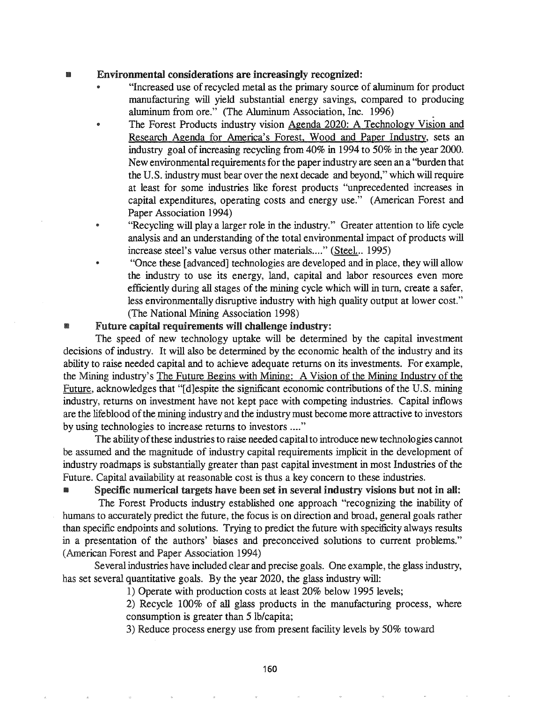### **III** Environmental considerations are increasingly recognized:

- "Increased use ofrecycled metal as the primary source of aluminum for product manufacturing will yield substantial energy savings, compared to producing aluminum from ore." (The Aluminum Association, Inc. 1996).
- The Forest Products industry vision Agenda 2020: A Technology Vision and Research Agenda for America's Forest, Wood and Paper Industry, sets an industry goal of increasing recycling from 40% in 1994 to 50% in the year 2000. New environmental requirements for the paper industry are seen an a "burden that the U.S. industry must bear over the next decade and beyond," which will require at least for some industries like forest products "unprecedented increases in capital expenditures, operating costs and energy use." (American Forest and Paper Association 1994)
- "Recycling will play a larger role in the industry." Greater attention to life cycle analysis and an understanding of the total environmental impact of products will increase steel's value versus other materials...." (Steel... 1995)
- "Once these [advanced] technologies are developed and in place, they will allow the industry to use its energy, land, capital and labor resources even more efficiently during all stages of the mining cycle which will in turn, create a safer, less environmentally disruptive industry with high quality output at lower cost." (The National Mining Association 1998)

## Future capital requirements will challenge industry:

The speed of new technology uptake will be determined by the capital investment decisions of industry. It will also be determined by the economic health of the industry and its ability to raise needed capital and to achieve adequate returns on its investments. For example, the Mining industry's The Future Begins with Mining: A Vision of the Mining Industry of the Future, acknowledges that "[d]espite the significant economic contributions of the U.S. mining industry, returns on investment have not kept pace with competing industries. Capital inflows are the lifeblood of the mining industry and the industry must become more attractive to investors by using technologies to increase returns to investors ...."

The ability of these industries to raise needed capital to introduce new technologies cannot be assumed and the magnitude of industry capital requirements implicit in the development of industry roadmaps is substantially greater than past capital investment in most Industries of the Future. Capital availability at reasonable cost is thus a key concern to these industries.

• Specific numerical targets have been set in several industry visions but not in all: The Forest Products industry established one approach "recognizing the inability of humans to accurately predict the future, the focus is on direction and broad, general goals rather than specific endpoints and solutions. Trying to predict the future with specificity always results in a presentation of the authors' biases and preconceived solutions to current problems." (American Forest and Paper Association 1994)

Several industries have included clear and precise goals. One example, the glass industry, has set several quantitative goals. By the year 2020, the glass industry will:

1) Operate with production costs at least 20% below 1995 levels;

2) Recycle 100% of all glass products in the manufacturing process, where consumption is greater than 5 Ib/capita;

3) Reduce process energy use from present facility levels by 50% toward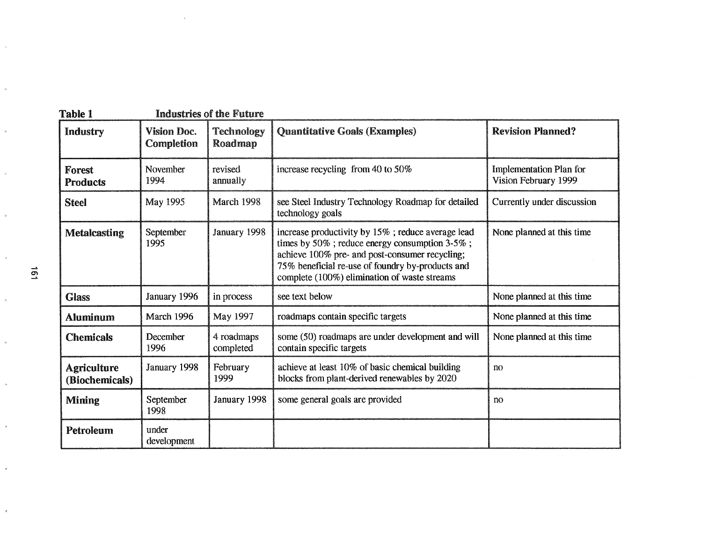| <b>Table 1</b>                       |                           | <b>Industries of the Future</b> |                                                                                                                                                                                                                                                                  |                                                        |
|--------------------------------------|---------------------------|---------------------------------|------------------------------------------------------------------------------------------------------------------------------------------------------------------------------------------------------------------------------------------------------------------|--------------------------------------------------------|
| <b>Industry</b>                      | Vision Doc.<br>Completion | <b>Technology</b><br>Roadmap    | <b>Quantitative Goals (Examples)</b>                                                                                                                                                                                                                             | <b>Revision Planned?</b>                               |
| Forest<br><b>Products</b>            | <b>November</b><br>1994   | revised<br>annually             | increase recycling from 40 to $50\%$                                                                                                                                                                                                                             | <b>Implementation Plan for</b><br>Vision February 1999 |
| <b>Steel</b>                         | May 1995                  | March 1998                      | see Steel Industry Technology Roadmap for detailed<br>technology goals                                                                                                                                                                                           | Currently under discussion                             |
| <b>Metalcasting</b>                  | September<br>1995         | January 1998                    | increase productivity by 15%; reduce average lead<br>times by $50\%$ ; reduce energy consumption $3-5\%$ ;<br>achieve 100% pre- and post-consumer recycling;<br>75% beneficial re-use of foundry by-products and<br>complete (100%) elimination of waste streams | None planned at this time                              |
| <b>Glass</b>                         | January 1996              | in process                      | see text below                                                                                                                                                                                                                                                   | None planned at this time                              |
| <b>Aluminum</b>                      | March 1996                | May 1997                        | roadmaps contain specific targets                                                                                                                                                                                                                                | None planned at this time                              |
| <b>Chemicals</b>                     | December<br>1996          | 4 roadmaps<br>completed         | some (50) roadmaps are under development and will<br>contain specific targets                                                                                                                                                                                    | None planned at this time                              |
| <b>Agriculture</b><br>(Biochemicals) | January 1998              | February<br>1999                | achieve at least 10% of basic chemical building<br>blocks from plant-derived renewables by 2020                                                                                                                                                                  | n <sub>0</sub>                                         |
| <b>Mining</b>                        | September<br>1998         | January 1998                    | some general goals are provided                                                                                                                                                                                                                                  | no                                                     |
| Petroleum                            | under<br>development      |                                 |                                                                                                                                                                                                                                                                  |                                                        |

 $\hat{\mathcal{A}}$ 

 $\bar{z}$ 

 $\bar{u}$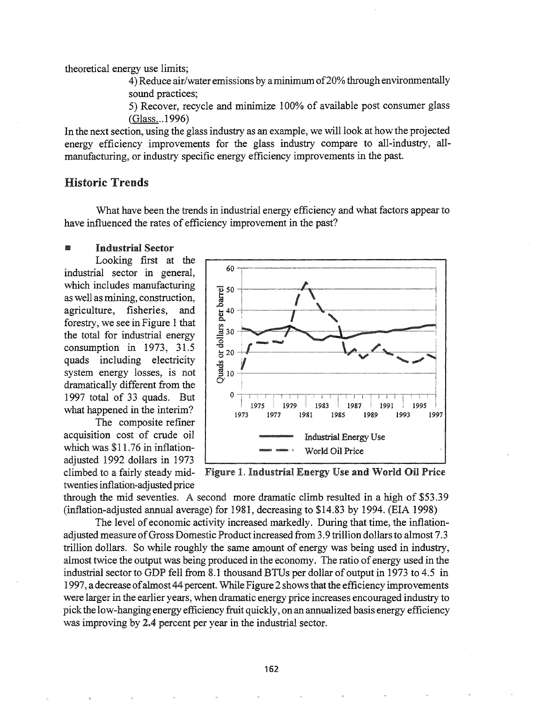theoretical energy use limits;

4) Reduce air/water emissions by a minimum of 20% through environmentally sound practices:

5) Recover, recycle and minimize 100% of available post consumer glass (Glass...1996)

In the next section, using the glass industry as an example, we will look at how the projected energy efficiency improvements for the glass industry compare to all-industry, allmanufacturing, or industry specific energy efficiency improvements in the past.

# **Historic Trends**

What have been the trends in industrial energy efficiency and what factors appear to have influenced the rates of efficiency improvement in the past?

#### **Industrial Sector** œ

Looking first at the industrial sector in general, which includes manufacturing as well as mining, construction, agriculture, fisheries, and forestry, we see in Figure 1 that the total for industrial energy consumption in 1973, 31.5 quads including electricity system energy losses, is not dramatically different from the 1997 total of 33 quads. But what happened in the interim?

The composite refiner acquisition cost of crude oil which was \$11.76 in inflationadiusted 1992 dollars in 1973 climbed to a fairly steady midtwenties inflation-adjusted price



Figure 1. Industrial Energy Use and World Oil Price

through the mid seventies. A second more dramatic climb resulted in a high of \$53.39 (inflation-adjusted annual average) for 1981, decreasing to \$14.83 by 1994. (EIA 1998)

The level of economic activity increased markedly. During that time, the inflationadjusted measure of Gross Domestic Product increased from 3.9 trillion dollars to almost 7.3 trillion dollars. So while roughly the same amount of energy was being used in industry. almost twice the output was being produced in the economy. The ratio of energy used in the industrial sector to GDP fell from 8.1 thousand BTUs per dollar of output in 1973 to 4.5 in 1997, a decrease of almost 44 percent. While Figure 2 shows that the efficiency improvements were larger in the earlier years, when dramatic energy price increases encouraged industry to pick the low-hanging energy efficiency fruit quickly, on an annualized basis energy efficiency was improving by 2.4 percent per year in the industrial sector.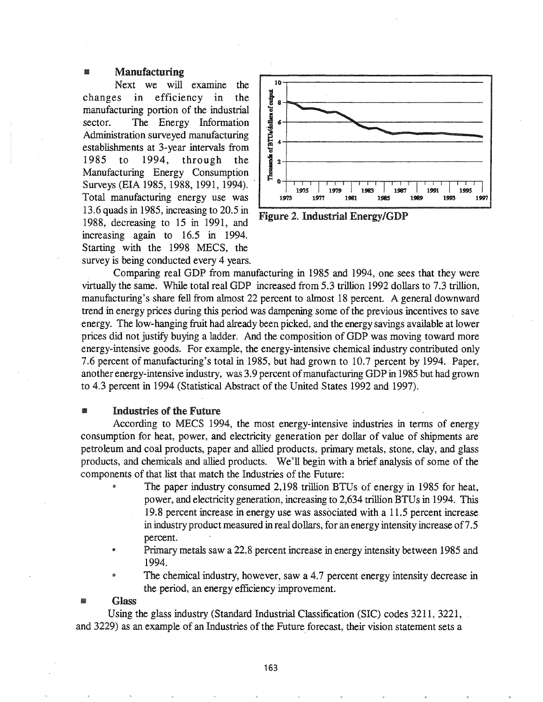### Manufacturing

Next we will examine the changes in efficiency in the manufacturing portion of the industrial sector. The Energy Information Administration surveyed manufacturing establishments at '3-year intervals from 1985 to 1994, through the Manufacturing Energy Consumption Surveys (EIA 1985, 1988, 1991, 1994).. Total manufacturing energy use was 13.6 quads in 1985, increasing to 20.5 in Figure 2. Industrial Energy/GDP 1988, decreasing to 15 in 1991, and increasing again to 16.5 in 1994. Starting with the 1998 MECS, the survey is being conducted every 4 years.



Comparing real GDP from manufacturing in 1985 and 1994, one sees that they were virtually the same. While total real GDP increased from 5.3 trillion 1992 dollars to 7.3 trillion, manufacturing's share fell from almost 22 percent to almost 18 percent. A general downward trend in energy prices during this period was dampening some of the previous incentives to save energy. The low-hanging fruit had already been picked, and the energy savings available at lower prices did not justify buying a ladder. And the composition of GDP was moving toward more energy-intensive goods. For example, the energy-intensive chemical industry contributed only 7.6 percent of manufacturing's total in 1985, but had grown to 10.7 percent by 1994. Paper, another energy-intensive industry, was 3.9 percent of manufacturing GDP in 1985 but had grown to 4.3 percent in 1994 (Statistical Abstract of the United States 1992 and 1997).

### **III. Industries of the Future**

According to MECS 1994, the most energy-intensive industries in terms of energy consumption for heat, power, and electricity generation per dollar of value of shipments are petroleum and coal products, paper and allied products, primary metals, stone, clay, and glass products, and chemicals and allied products. We'll begin with a brief analysis of some of the components of that list that match the Industries of the Future:

- The paper industry consumed 2,198 trillion BTUs of energy in 1985 for heat, power, and electricity generation, increasing to 2,634 trillion BTUs in 1994. This 19.8 percent increase in energy use was associated with a 11.5 percent increase in industry product measured in real dollars, for an energy intensity increase of7.5 percent.
- <sup>e</sup> Primary metals saw a 22.8 percent increase in energy intensity between 1985 and 1994.
- The chemical industry, however, saw a 4.7 percent energy intensity decrease in the period, an energy efficiency improvement.

### **Glass**

Using the glass industry (Standard Industrial Classification (SIC) codes 3211, 3221, and 3229) as an example of an Industries of the Future forecast, their vision statement sets a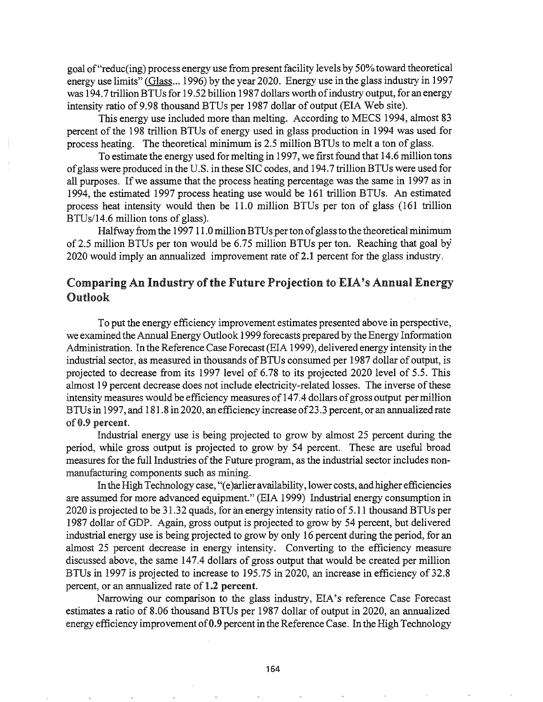goal of"reduc(ing) process energy use from present facility levels by 50% toward theoretical energy use limits" (Glass... 1996) by the year 2020. Energy use in the glass industry in 1997 was 194.7 trillion BTUs for 19.52 billion 1987 dollars worth of industry output, for an energy intensity ratio of 9.98 thousand BTUs per 1987 dollar of output (EIA Web site).

This energy use included more than melting. According to MECS 1994, almost 83 percent of the 198 trillion BTUs of energy used in glass production in 1994 was used for process heating. The theoretical minimum is 2.5 million BTUs to melt a ton of glass.

To estimate the energy used for melting in 1997, we first found that 14.6 million tons ofglass were produced in the U.S. in these SIC codes, and 194.7 trillionBTUs were used for all purposes. Ifwe assume that the process heating percentage was the same in 1997 as in 1994, 'the estimated 1997 process heating use would be 161 trillion *BTVs.* An estimated process heat intensity would then be 11.0 million B*TV*s per ton of glass (161 trillion BTUs/14.6 million tons of glass).

Halfway from the 1997 11.0 million BTUs per ton of glass to the theoretical minimum of2.5 million BTUs per ton would be 6.75 million BTUs per ton. Reaching that goal by 2020 would imply an annualized improvement rate of 2.1 percent for the glass industry.

# Comparing An Industry of the Future Projection to EIA's Annual Energy Outlook

To put the energy efficiency improvement estimates presented above in perspective, we examined the Annual Energy Outlook 1999 forecasts prepared by the Energy Information Administration. In the Reference Case Forecast(EIA 1999), delivered energy intensity in the industrial sector, as measured in thousands of BTUs consumed per 1987 dollar of output, is projected to decrease from its 1997 level of 6.78 to its projected 2020 level of 5.5. This almost 19 percent decrease does not include electricity-related losses. The inverse of these intensity measures would be efficiency measures of 147.4 dollars ofgross output permillion BTUsin 1997, and 181.8 in 2020, an efficiency increase of23.3 percent, or an annualized rate of 0.9 percent.

Industrial energy use is being projected to grow by almost 25 percent during the period, while gross output is projected to grow by 54 percent. These are useful broad measures for the full Industries of the Future program, as the industrial sector includes nonmanufacturing components such as mining.

In the High Technology case, "(e)arlier availability, lower costs, and higher efficiencies are assumed for more advanced equipment." (EIA 1999) Industrial energy consumption in 2020 is projected to be 31.32 quads, for an energy intensity ratio of 5.11 thousand BTUs per 1987 dollar ofGDP. Again, gross output is projected to grow by 54 percent, but delivered industrial energy use is being projected to grow by only 16 percent during the period, for an almost 25 percent decrease in energy intensity. Converting to the efficiency measure discussed above, the same 147.4 dollars of gross output that would be created per million BTUs in 1997 is projected to increase to 195.75 in 2020, an increase in efficiency of 32.8 percent, or an annualized rate of 1.2 percent.

Narrowing our comparison to the glass industry, EIA's reference Case Forecast estimates a ratio of 8.06 thousand BTUs per 1987 dollar of output in 2020, an annualized energy efficiency improvement of 0.9 percent in the Reference Case. In the High Technology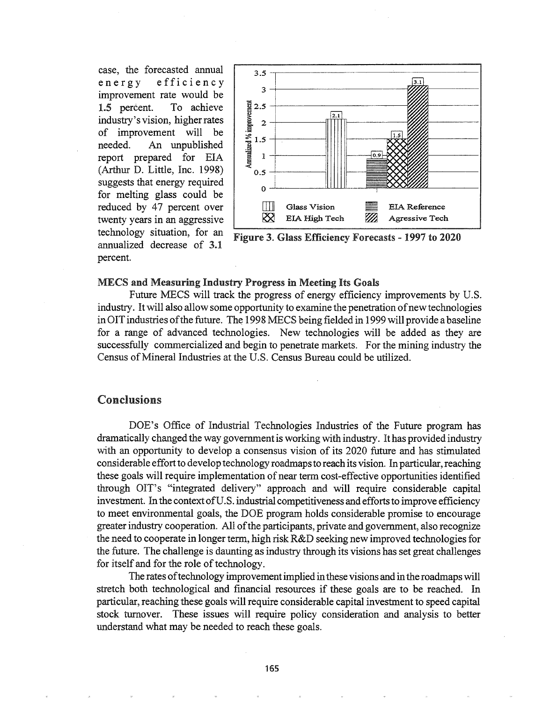case, the forecasted annual energy efficiency improvement rate would be 1.5 percent. To achieve industry's vision, higher rates of improvement will be needed. An unpublished report prepared for EIA (Arthur D. Little, Inc. 1998) suggests that energy required for melting glass could be reduced by 47 percent over twenty years in an aggressive technology situation, for an annualized decrease of 3.1 percent.



Figure 3. Glass Efficiency Forecasts - 1997 to 2020

### **MECS and Measuring Industry Progress in Meeting Its Goals**

Future MECS will track the progress of energy efficiency improvements by U.S. industry. It will also allow some opportunity to examine the penetration of new technologies in OIT industries of the future. The 1998 MECS being fielded in 1999 will provide a baseline for a range of advanced technologies. New technologies will be added as they are successfully commercialized and begin to penetrate markets. For the mining industry the Census of Mineral Industries at the U.S. Census Bureau could be utilized.

## Conclusions

DOE's Office of Industrial Technologies Industries of the Future program has dramatically changed the way government is working with industry. It has provided industry with an opportunity to develop a consensus vision of its 2020 future and has stimulated considerable effort to develop technology roadmaps to reach its vision. In particular, reaching these goals will require implementation of near term cost-effective opportunities identified through OIT's "integrated delivery" approach and will require considerable capital investment. In the context of U.S. industrial competitiveness and efforts to improve efficiency to meet environmental goals, the DOE program holds considerable promise to encourage greater industry cooperation. All of the participants, private and government, also recognize the need to cooperate in longer term, high risk R&D seeking new improved technologies for the future. The challenge is daunting as industry through its visions has set great challenges for itself and for the role of technology.

The rates of technology improvement implied in these visions and in the roadmaps will stretch both technological and financial resources if these goals are to be reached. In particular, reaching these goals will require considerable capital investment to speed capital stock turnover. These issues will require policy consideration and analysis to better understand what may be needed to reach these goals.